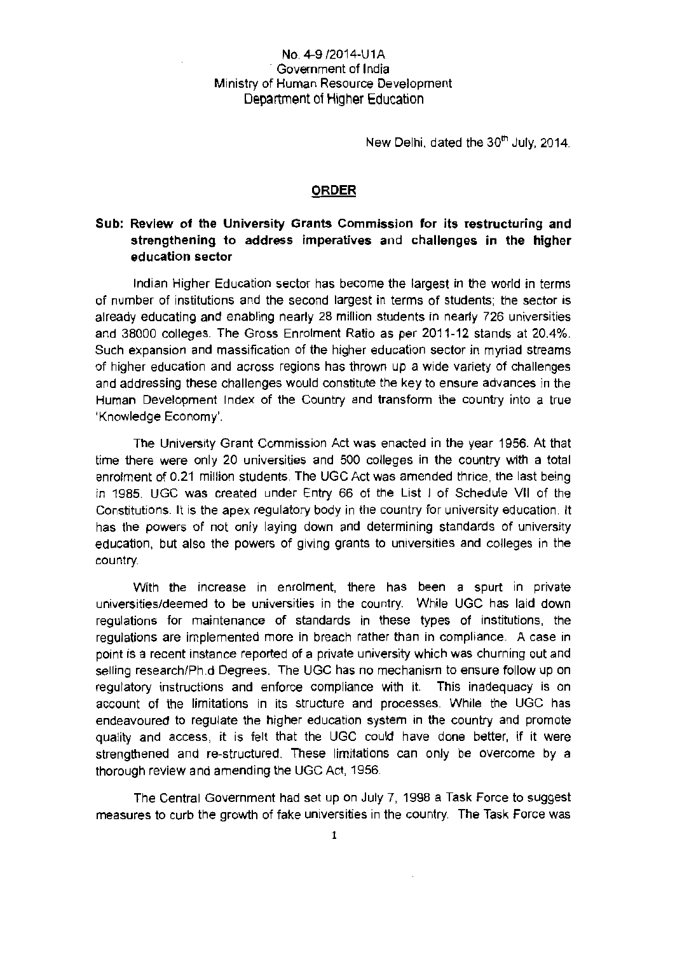## No. 4-9/2014-U1A Government of India Ministry of Human Resource Development Department of Higher Education

New Delhi, dated the 30<sup>th</sup> July, 2014.

## ORDER

## **Sub: Review of the University Grants Commission for its restructuring and strengthening to address imperatives and challenges in the higher education sector**

Indian Higher Education sector has become the largest in the world in terms of number of institutions and the second largest in terms of students; the sector is already educating and enabling nearly 28 million students in nearly 726 universities and 38000 colleges. The Gross Enrolment Ratio as per 2011-12 stands at 20.4%. Such expansion and massification of the higher education sector in myriad streams of higher education and across regions has thrown up a wide variety of challenges and addressing these challenges would constitute the key to ensure advances in the Human Development Index of the Country and transform the country into a true 'Knowledge Economy'.

The University Grant Commission Act was enacted in the year 1956. At that time there were only 20 universities and 500 colleges in the country with a total enrolment of 0.21 million students. The UGC Act was amended thrice, the last being in 1985. UGC was created under Entry 66 of the List I of Schedule VII of the Constitutions. It is the apex regulatory body in the country for university education. It has the powers of not only laying down and determining standards of university education, but also the powers of giving grants to universities and colleges in the country.

With the increase in enrolment, there has been a spurt in private universities/deemed to be universities in the country. While UGC has laid down regulations for maintenance of standards in these types of institutions, the regulations are implemented more in breach rather than in compliance. A case in point is a recent instance reported of a private university which was churning out and selling research/Ph.d Degrees. The UGC has no mechanism to ensure follow up on regulatory instructions and enforce compliance with it. This inadequacy is on account of the limitations in its structure and processes. While the UGC has endeavoured to regulate the higher education system in the country and promote quality and access, it is felt that the UGC could have done better, if it were strengthened and re-structured. These limitations can only be overcome by a thorough review and amending the UGC Act, 1956.

The Central Government had set up on July 7, 1998 a Task Force to suggest measures to curb the growth of fake universities in the country. The Task Force was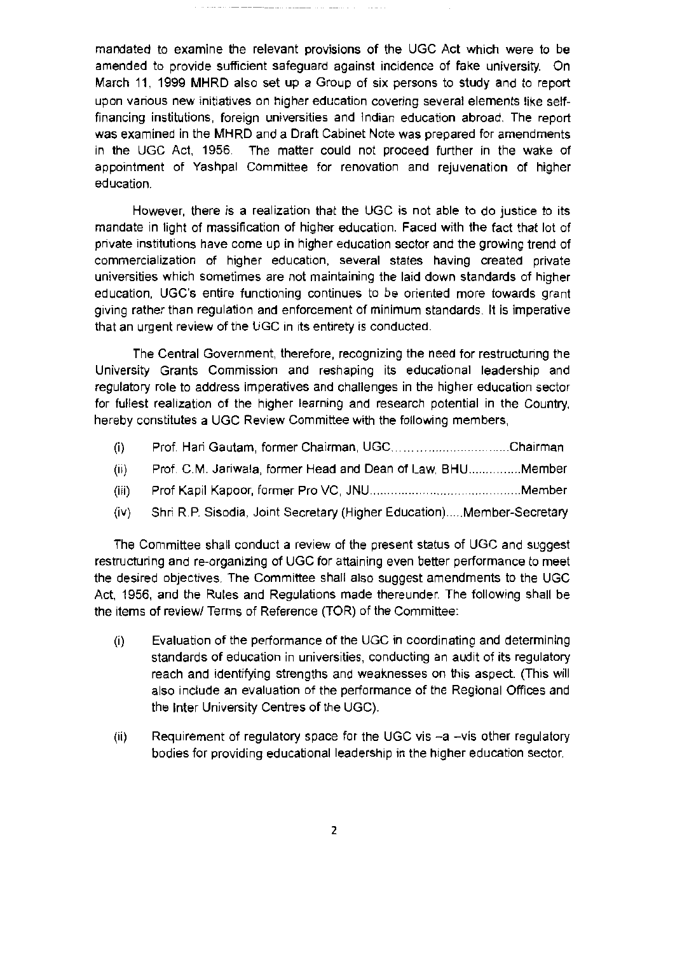mandated to examine the relevant provisions of the UGC Act which were to be amended to provide sufficient safeguard against incidence of fake university. On March 11, 1999 MHRD also set up a Group of six persons to study and to report upon various new initiatives on higher education covering several elements like selffinancing institutions, foreign universities and Indian education abroad. The report was examined in the MHRD and a Draft Cabinet Note was prepared for amendments in the UGC Act, 1956. The matter could not proceed further in the wake of appointment of Yashpal Committee for renovation and rejuvenation of higher education.

-- - - ----- - -

. . . . . . . . . . .

However, there is a realization that the UGC is not able to do justice to its mandate in light of massification of higher education. Faced with the fact that lot of private institutions have come up in higher education sector and the growing trend of commercialization of higher education, several states having created private universities which sometimes are not maintaining the laid down standards of higher education, UGC's entire functioning continues to be oriented more towards grant giving rather than regulation and enforcement of minimum standards. It is imperative that an urgent review of the UGC in its entirety is conducted.

The Central Government, therefore, recognizing the need for restructuring the University Grants Commission and reshaping its educational leadership and regulatory role to address imperatives and challenges in the higher education sector for fullest realization of the higher learning and research potential in the Country, hereby constitutes a UGC Review Committee with the following members,

- (i) Prof. Hari Gautam, former Chairman, UGC..................................Chairman
- (li) Prof. C.M. Jariwala, former Head and Dean of Law, BHU .............. Member
- (iii) Prof Kapil Kapoor, former Pro VC, JNU .. .. Member
- (iv) Shri R.P. Sisodia, Joint Secretary (Higher Education) .... Member-Secretary

The Committee shall conduct a review of the present status of UGC and suggest restructuring and re-organizing of UGC for attaining even better performance to meet the desired objectives. The Committee shall also suggest amendments to the UGC Act, 1956, and the Rules and Regulations made thereunder. The following shall be the items of review/ Terms of Reference (TOR) of the Committee:

- (i) Evaluation of the performance of the UGC in coordinating and determining standards of education in universities, conducting an audit of its regulatory reach and identifying strengths and weaknesses on this aspect. (This will also include an evaluation of the performance of the Regional Offices and the Inter University Centres of the UGC).
- (ii) Requirement of regulatory space for the UGC vis  $-a$  -vis other regulatory bodies for providing educational leadership in the higher education sector.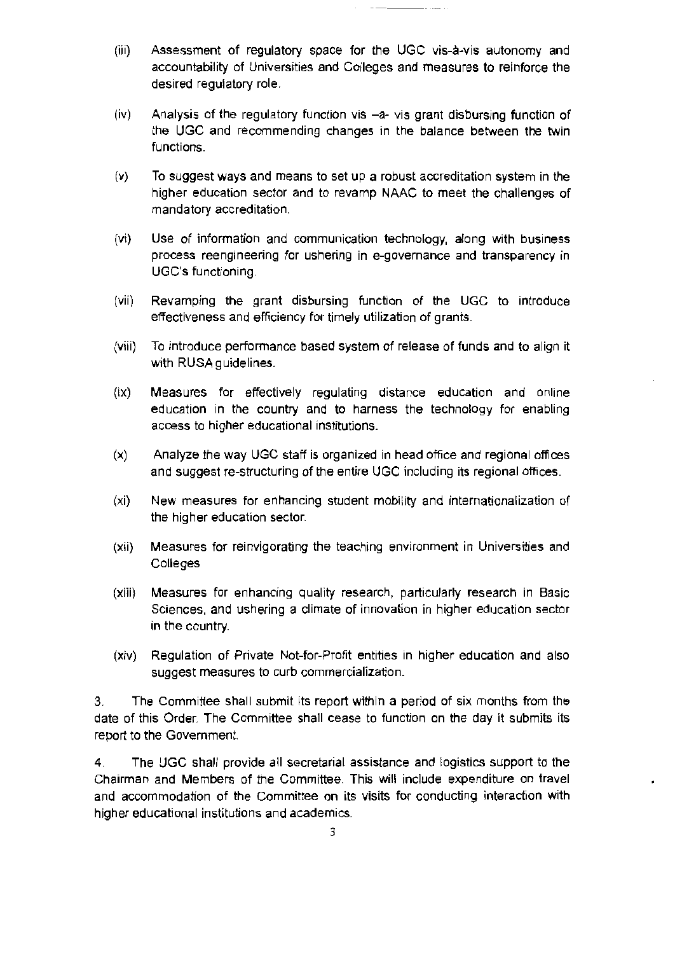- (iii) Assessment of regulatory space for the UGC vis-a-vis autonomy and accountability of Universities and Colleges and measures to reinforce the desired regulatory role.
- (iv) Analysis of the regulatory function vis -a- vis grant disbursing function of the UGC and recommending changes in the balance between the twin functions.
- (v) To suggest ways and means to set up a robust accreditation system in the higher education sector and to revamp NAAC to meet the challenges of mandatory accreditation.
- (vi) Use of information and communication technology, along with business process reengineering for ushering in e-governance and transparency in UGC's functioning.
- (vii) Revamping the grant disbursing function of the UGC to introduce effectiveness and efficiency for timely utilization of grants.
- (viii) To introduce performance based system of release of funds and to align it with RUSA guidelines.
- (ix) Measures for effectively regulating distance education and online education in the country and to harness the technology for enabling access to higher educational institutions.
- (x) Analyze the way UGC staff is organized in head office and regional offices and suggest re-structuring of the entire UGC including its regional offices.
- (xi) New measures for enhancing student mobility and internationalization of the higher education sector.
- (xii) Measures for reinvigorating the teaching environment in Universities and **Colleges**
- (xiii) Measures for enhancing quallty research, particularly research in Basic Sciences, and ushering a climate of innovation in higher education sector in the country.
- (xiv) Regulation of Private Not-for-Profit entities in higher education and also suggest measures to curb commercialization.

3. The Committee shall submit its report within a period of six months from the date of this Order. The Committee shall cease to function on the day it submits its report to the Government.

4. The UGC shall provide all secretarial assistance and logistics support to the Chairman and Members of the Committee. This will include expenditure on travel and accommodation of the Committee on its visits for conducting interaction with higher educational institutions and academics.